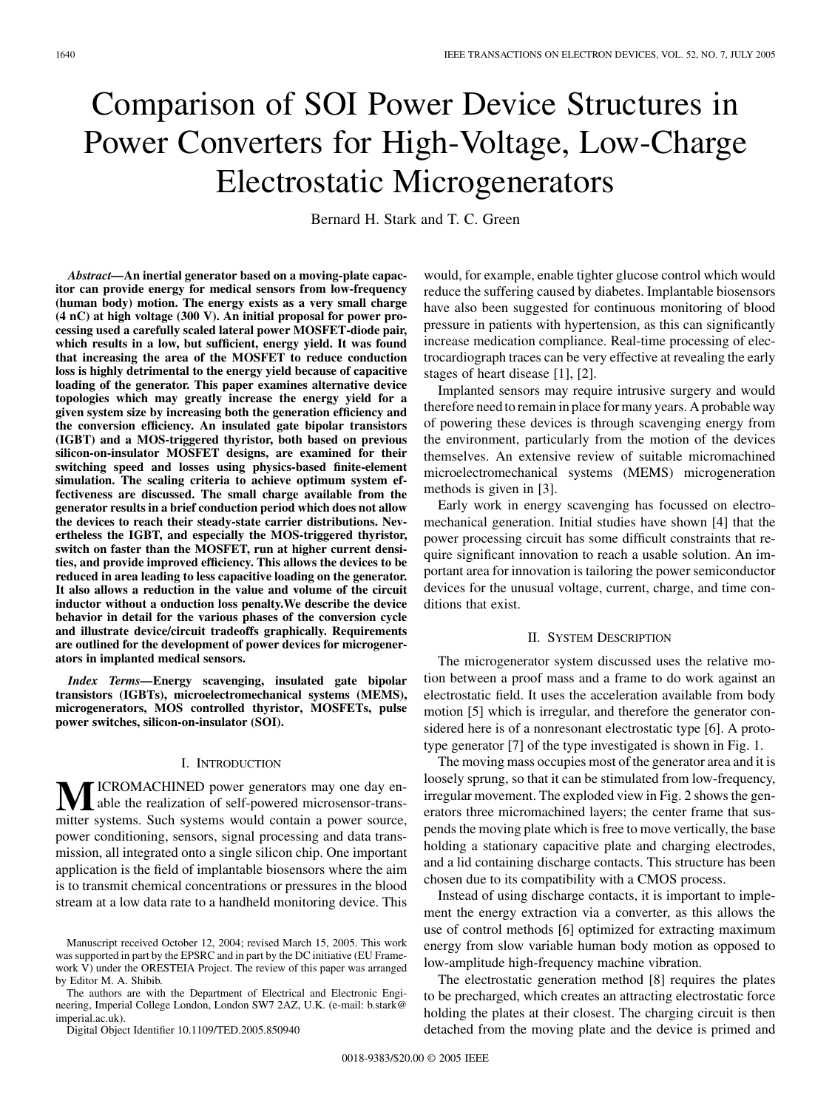# Comparison of SOI Power Device Structures in Power Converters for High-Voltage, Low-Charge Electrostatic Microgenerators

Bernard H. Stark and T. C. Green

*Abstract—***An inertial generator based on a moving-plate capacitor can provide energy for medical sensors from low-frequency (human body) motion. The energy exists as a very small charge (4 nC) at high voltage (300 V). An initial proposal for power processing used a carefully scaled lateral power MOSFET-diode pair, which results in a low, but sufficient, energy yield. It was found that increasing the area of the MOSFET to reduce conduction loss is highly detrimental to the energy yield because of capacitive loading of the generator. This paper examines alternative device topologies which may greatly increase the energy yield for a given system size by increasing both the generation efficiency and the conversion efficiency. An insulated gate bipolar transistors (IGBT) and a MOS-triggered thyristor, both based on previous silicon-on-insulator MOSFET designs, are examined for their switching speed and losses using physics-based finite-element simulation. The scaling criteria to achieve optimum system effectiveness are discussed. The small charge available from the generator results in a brief conduction period which does not allow the devices to reach their steady-state carrier distributions. Nevertheless the IGBT, and especially the MOS-triggered thyristor, switch on faster than the MOSFET, run at higher current densities, and provide improved efficiency. This allows the devices to be reduced in area leading to less capacitive loading on the generator. It also allows a reduction in the value and volume of the circuit inductor without a onduction loss penalty.We describe the device behavior in detail for the various phases of the conversion cycle and illustrate device/circuit tradeoffs graphically. Requirements are outlined for the development of power devices for microgenerators in implanted medical sensors.**

*Index Terms—***Energy scavenging, insulated gate bipolar transistors (IGBTs), microelectromechanical systems (MEMS), microgenerators, MOS controlled thyristor, MOSFETs, pulse power switches, silicon-on-insulator (SOI).**

#### I. INTRODUCTION

**M**ICROMACHINED power generators may one day en-<br>able the realization of self-powered microsensor-trans-<br>mitter gustame. Such gustame would gentuin a newer source mitter systems. Such systems would contain a power source, power conditioning, sensors, signal processing and data transmission, all integrated onto a single silicon chip. One important application is the field of implantable biosensors where the aim is to transmit chemical concentrations or pressures in the blood stream at a low data rate to a handheld monitoring device. This

The authors are with the Department of Electrical and Electronic Engineering, Imperial College London, London SW7 2AZ, U.K. (e-mail: b.stark@ imperial.ac.uk).

Digital Object Identifier 10.1109/TED.2005.850940

would, for example, enable tighter glucose control which would reduce the suffering caused by diabetes. Implantable biosensors have also been suggested for continuous monitoring of blood pressure in patients with hypertension, as this can significantly increase medication compliance. Real-time processing of electrocardiograph traces can be very effective at revealing the early stages of heart disease [\[1](#page-8-0)], [\[2](#page-8-0)].

Implanted sensors may require intrusive surgery and would therefore need to remain in place for many years. A probable way of powering these devices is through scavenging energy from the environment, particularly from the motion of the devices themselves. An extensive review of suitable micromachined microelectromechanical systems (MEMS) microgeneration methods is given in [\[3](#page-8-0)].

Early work in energy scavenging has focussed on electromechanical generation. Initial studies have shown [[4\]](#page-8-0) that the power processing circuit has some difficult constraints that require significant innovation to reach a usable solution. An important area for innovation is tailoring the power semiconductor devices for the unusual voltage, current, charge, and time conditions that exist.

## II. SYSTEM DESCRIPTION

The microgenerator system discussed uses the relative motion between a proof mass and a frame to do work against an electrostatic field. It uses the acceleration available from body motion [\[5](#page-8-0)] which is irregular, and therefore the generator considered here is of a nonresonant electrostatic type [\[6](#page-8-0)]. A prototype generator [[7\]](#page-8-0) of the type investigated is shown in Fig. 1.

The moving mass occupies most of the generator area and it is loosely sprung, so that it can be stimulated from low-frequency, irregular movement. The exploded view in Fig. 2 shows the generators three micromachined layers; the center frame that suspends the moving plate which is free to move vertically, the base holding a stationary capacitive plate and charging electrodes, and a lid containing discharge contacts. This structure has been chosen due to its compatibility with a CMOS process.

Instead of using discharge contacts, it is important to implement the energy extraction via a converter, as this allows the use of control methods [[6\]](#page-8-0) optimized for extracting maximum energy from slow variable human body motion as opposed to low-amplitude high-frequency machine vibration.

The electrostatic generation method [[8\]](#page-8-0) requires the plates to be precharged, which creates an attracting electrostatic force holding the plates at their closest. The charging circuit is then detached from the moving plate and the device is primed and

Manuscript received October 12, 2004; revised March 15, 2005. This work was supported in part by the EPSRC and in part by the DC initiative (EU Framework V) under the ORESTEIA Project. The review of this paper was arranged by Editor M. A. Shibib.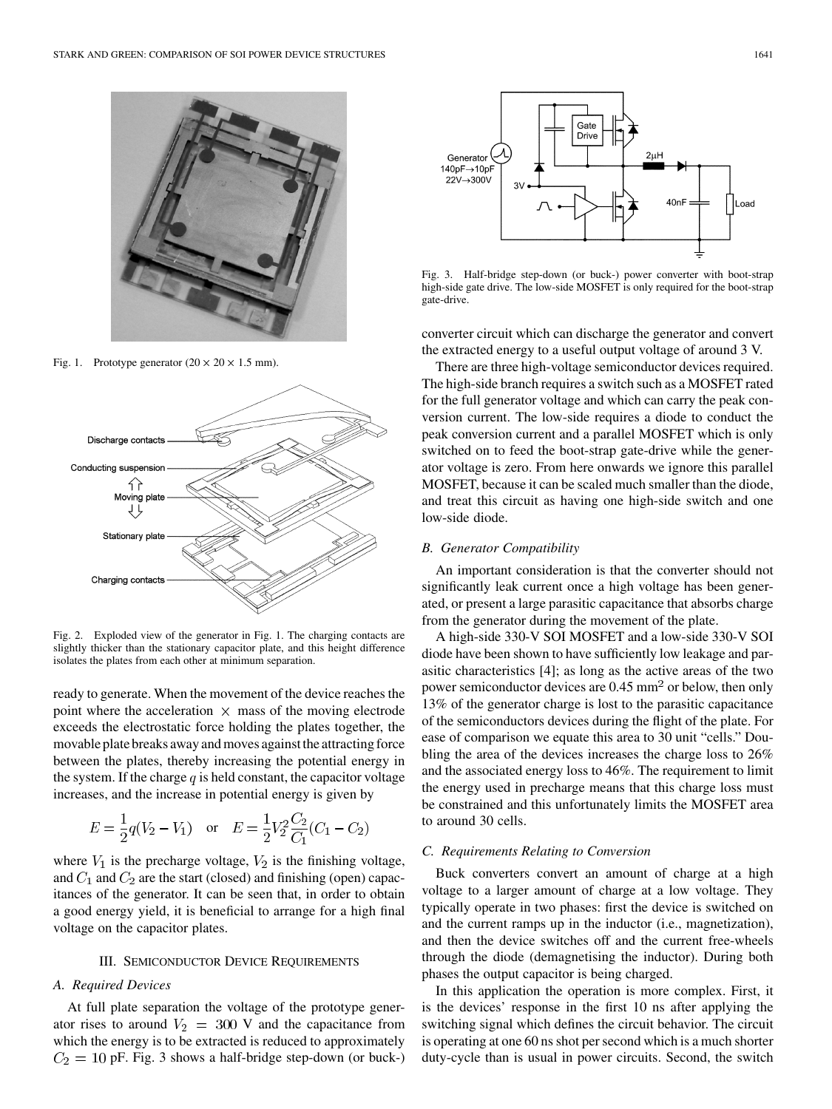

Fig. 1. Prototype generator  $(20 \times 20 \times 1.5 \text{ mm})$ .



Fig. 2. Exploded view of the generator in Fig. 1. The charging contacts are slightly thicker than the stationary capacitor plate, and this height difference isolates the plates from each other at minimum separation.

ready to generate. When the movement of the device reaches the point where the acceleration  $\times$  mass of the moving electrode exceeds the electrostatic force holding the plates together, the movable plate breaks away and moves against the attracting force between the plates, thereby increasing the potential energy in the system. If the charge  $q$  is held constant, the capacitor voltage increases, and the increase in potential energy is given by

$$
E = \frac{1}{2}q(V_2 - V_1) \quad \text{or} \quad E = \frac{1}{2}V_2^2 \frac{C_2}{C_1}(C_1 - C_2)
$$

where  $V_1$  is the precharge voltage,  $V_2$  is the finishing voltage, and  $C_1$  and  $C_2$  are the start (closed) and finishing (open) capacitances of the generator. It can be seen that, in order to obtain a good energy yield, it is beneficial to arrange for a high final voltage on the capacitor plates.

## III. SEMICONDUCTOR DEVICE REQUIREMENTS

# *A. Required Devices*

At full plate separation the voltage of the prototype generator rises to around  $V_2 = 300$  V and the capacitance from which the energy is to be extracted is reduced to approximately  $C_2 = 10$  pF. Fig. 3 shows a half-bridge step-down (or buck-)



Fig. 3. Half-bridge step-down (or buck-) power converter with boot-strap high-side gate drive. The low-side MOSFET is only required for the boot-strap gate-drive.

converter circuit which can discharge the generator and convert the extracted energy to a useful output voltage of around 3 V.

There are three high-voltage semiconductor devices required. The high-side branch requires a switch such as a MOSFET rated for the full generator voltage and which can carry the peak conversion current. The low-side requires a diode to conduct the peak conversion current and a parallel MOSFET which is only switched on to feed the boot-strap gate-drive while the generator voltage is zero. From here onwards we ignore this parallel MOSFET, because it can be scaled much smaller than the diode, and treat this circuit as having one high-side switch and one low-side diode.

## *B. Generator Compatibility*

An important consideration is that the converter should not significantly leak current once a high voltage has been generated, or present a large parasitic capacitance that absorbs charge from the generator during the movement of the plate.

A high-side 330-V SOI MOSFET and a low-side 330-V SOI diode have been shown to have sufficiently low leakage and parasitic characteristics [\[4](#page-8-0)]; as long as the active areas of the two power semiconductor devices are  $0.45$  mm<sup>2</sup> or below, then only 13% of the generator charge is lost to the parasitic capacitance of the semiconductors devices during the flight of the plate. For ease of comparison we equate this area to 30 unit "cells." Doubling the area of the devices increases the charge loss to 26% and the associated energy loss to 46%. The requirement to limit the energy used in precharge means that this charge loss must be constrained and this unfortunately limits the MOSFET area to around 30 cells.

#### *C. Requirements Relating to Conversion*

Buck converters convert an amount of charge at a high voltage to a larger amount of charge at a low voltage. They typically operate in two phases: first the device is switched on and the current ramps up in the inductor (i.e., magnetization), and then the device switches off and the current free-wheels through the diode (demagnetising the inductor). During both phases the output capacitor is being charged.

In this application the operation is more complex. First, it is the devices' response in the first 10 ns after applying the switching signal which defines the circuit behavior. The circuit is operating at one 60 ns shot per second which is a much shorter duty-cycle than is usual in power circuits. Second, the switch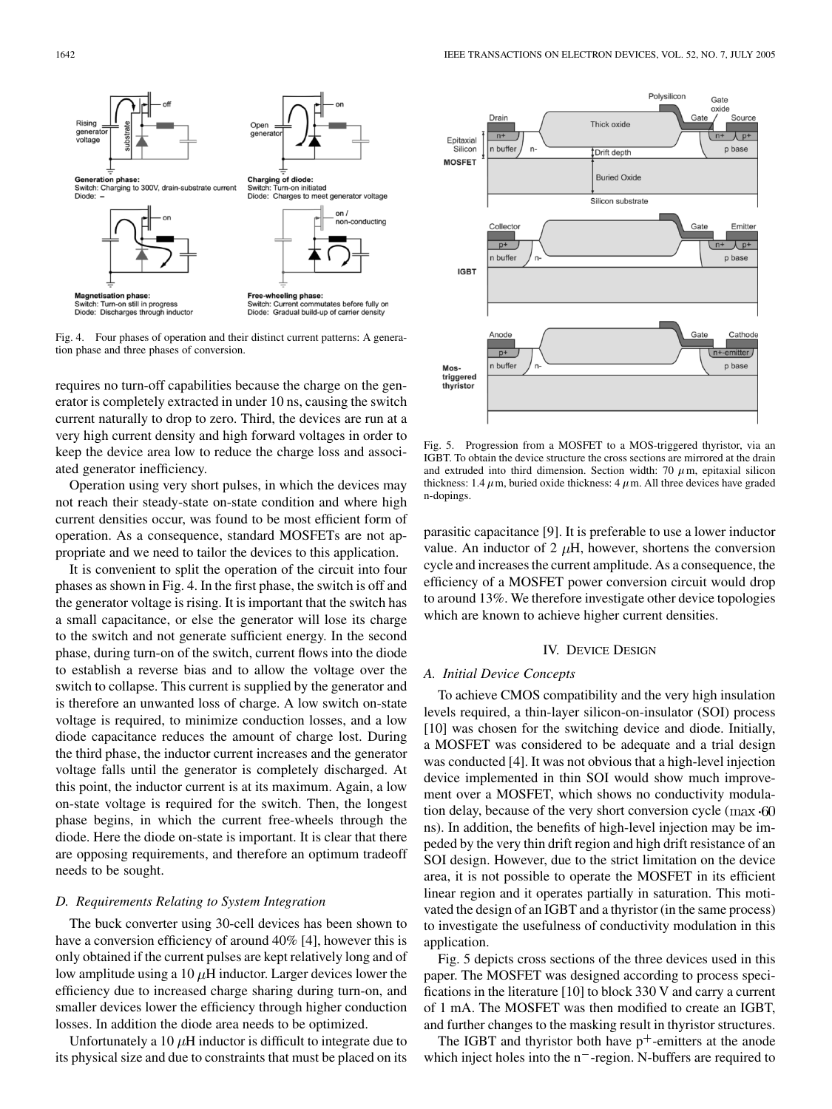

Fig. 4. Four phases of operation and their distinct current patterns: A generation phase and three phases of conversion.

requires no turn-off capabilities because the charge on the generator is completely extracted in under 10 ns, causing the switch current naturally to drop to zero. Third, the devices are run at a very high current density and high forward voltages in order to keep the device area low to reduce the charge loss and associated generator inefficiency.

Operation using very short pulses, in which the devices may not reach their steady-state on-state condition and where high current densities occur, was found to be most efficient form of operation. As a consequence, standard MOSFETs are not appropriate and we need to tailor the devices to this application.

It is convenient to split the operation of the circuit into four phases as shown in Fig. 4. In the first phase, the switch is off and the generator voltage is rising. It is important that the switch has a small capacitance, or else the generator will lose its charge to the switch and not generate sufficient energy. In the second phase, during turn-on of the switch, current flows into the diode to establish a reverse bias and to allow the voltage over the switch to collapse. This current is supplied by the generator and is therefore an unwanted loss of charge. A low switch on-state voltage is required, to minimize conduction losses, and a low diode capacitance reduces the amount of charge lost. During the third phase, the inductor current increases and the generator voltage falls until the generator is completely discharged. At this point, the inductor current is at its maximum. Again, a low on-state voltage is required for the switch. Then, the longest phase begins, in which the current free-wheels through the diode. Here the diode on-state is important. It is clear that there are opposing requirements, and therefore an optimum tradeoff needs to be sought.

# *D. Requirements Relating to System Integration*

The buck converter using 30-cell devices has been shown to have a conversion efficiency of around 40% [\[4](#page-8-0)], however this is only obtained if the current pulses are kept relatively long and of low amplitude using a 10  $\mu$ H inductor. Larger devices lower the efficiency due to increased charge sharing during turn-on, and smaller devices lower the efficiency through higher conduction losses. In addition the diode area needs to be optimized.

Unfortunately a 10  $\mu$ H inductor is difficult to integrate due to its physical size and due to constraints that must be placed on its



Fig. 5. Progression from a MOSFET to a MOS-triggered thyristor, via an IGBT. To obtain the device structure the cross sections are mirrored at the drain and extruded into third dimension. Section width:  $70 \mu$ m, epitaxial silicon thickness:  $1.4 \mu$ m, buried oxide thickness:  $4 \mu$ m. All three devices have graded n-dopings.

parasitic capacitance [[9\]](#page-8-0). It is preferable to use a lower inductor value. An inductor of 2  $\mu$ H, however, shortens the conversion cycle and increases the current amplitude. As a consequence, the efficiency of a MOSFET power conversion circuit would drop to around 13%. We therefore investigate other device topologies which are known to achieve higher current densities.

#### IV. DEVICE DESIGN

## *A. Initial Device Concepts*

To achieve CMOS compatibility and the very high insulation levels required, a thin-layer silicon-on-insulator (SOI) process [[10\]](#page-8-0) was chosen for the switching device and diode. Initially, a MOSFET was considered to be adequate and a trial design was conducted [\[4](#page-8-0)]. It was not obvious that a high-level injection device implemented in thin SOI would show much improvement over a MOSFET, which shows no conductivity modulation delay, because of the very short conversion cycle (max 60) ns). In addition, the benefits of high-level injection may be impeded by the very thin drift region and high drift resistance of an SOI design. However, due to the strict limitation on the device area, it is not possible to operate the MOSFET in its efficient linear region and it operates partially in saturation. This motivated the design of an IGBT and a thyristor (in the same process) to investigate the usefulness of conductivity modulation in this application.

Fig. 5 depicts cross sections of the three devices used in this paper. The MOSFET was designed according to process specifications in the literature [\[10](#page-8-0)] to block 330 V and carry a current of 1 mA. The MOSFET was then modified to create an IGBT, and further changes to the masking result in thyristor structures.

The IGBT and thyristor both have  $p^+$ -emitters at the anode which inject holes into the  $n<sup>-</sup>$ -region. N-buffers are required to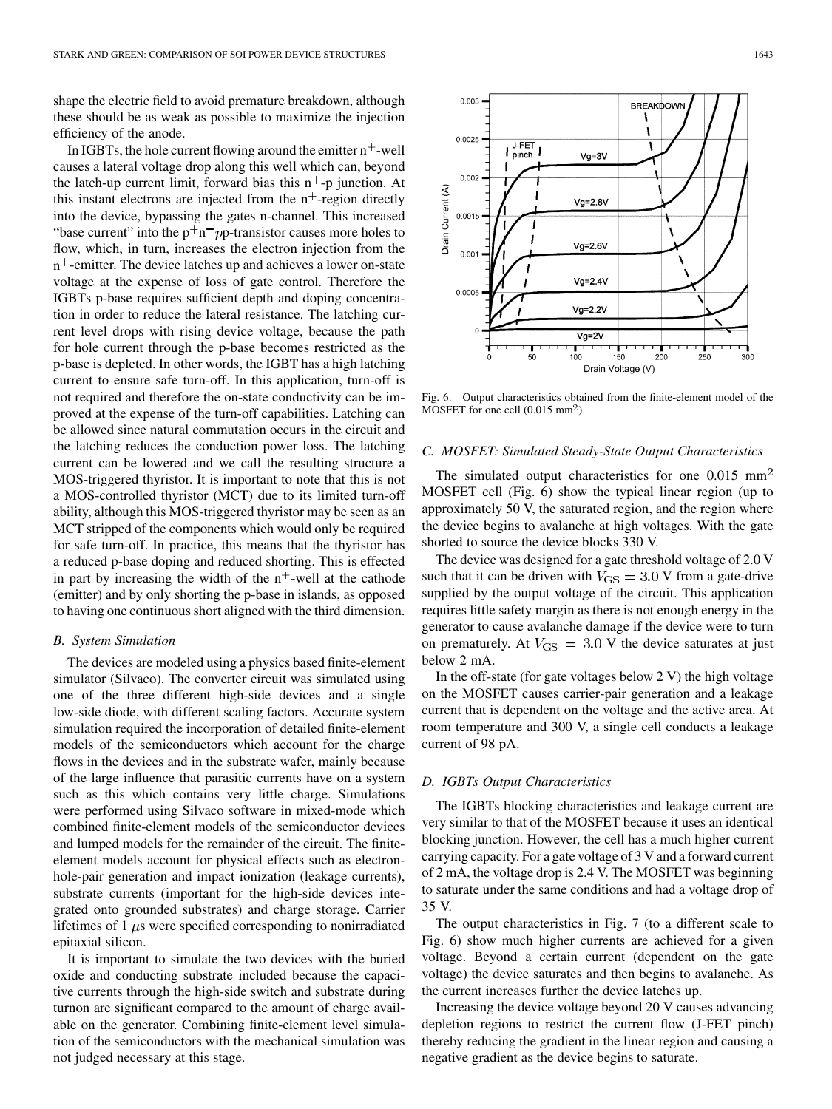shape the electric field to avoid premature breakdown, although these should be as weak as possible to maximize the injection efficiency of the anode.

In IGBTs, the hole current flowing around the emitter  $n^+$ -well causes a lateral voltage drop along this well which can, beyond the latch-up current limit, forward bias this  $n^+$ -p junction. At this instant electrons are injected from the  $n<sup>+</sup>$ -region directly into the device, bypassing the gates n-channel. This increased "base current" into the  $p^+n^-pp$ -transistor causes more holes to flow, which, in turn, increases the electron injection from the  $n<sup>+</sup>$ -emitter. The device latches up and achieves a lower on-state voltage at the expense of loss of gate control. Therefore the IGBTs p-base requires sufficient depth and doping concentration in order to reduce the lateral resistance. The latching current level drops with rising device voltage, because the path for hole current through the p-base becomes restricted as the p-base is depleted. In other words, the IGBT has a high latching current to ensure safe turn-off. In this application, turn-off is not required and therefore the on-state conductivity can be improved at the expense of the turn-off capabilities. Latching can be allowed since natural commutation occurs in the circuit and the latching reduces the conduction power loss. The latching current can be lowered and we call the resulting structure a MOS-triggered thyristor. It is important to note that this is not a MOS-controlled thyristor (MCT) due to its limited turn-off ability, although this MOS-triggered thyristor may be seen as an MCT stripped of the components which would only be required for safe turn-off. In practice, this means that the thyristor has a reduced p-base doping and reduced shorting. This is effected in part by increasing the width of the  $n^+$ -well at the cathode (emitter) and by only shorting the p-base in islands, as opposed to having one continuous short aligned with the third dimension.

#### *B. System Simulation*

The devices are modeled using a physics based finite-element simulator (Silvaco). The converter circuit was simulated using one of the three different high-side devices and a single low-side diode, with different scaling factors. Accurate system simulation required the incorporation of detailed finite-element models of the semiconductors which account for the charge flows in the devices and in the substrate wafer, mainly because of the large influence that parasitic currents have on a system such as this which contains very little charge. Simulations were performed using Silvaco software in mixed-mode which combined finite-element models of the semiconductor devices and lumped models for the remainder of the circuit. The finiteelement models account for physical effects such as electronhole-pair generation and impact ionization (leakage currents), substrate currents (important for the high-side devices integrated onto grounded substrates) and charge storage. Carrier lifetimes of  $1 \mu s$  were specified corresponding to nonirradiated epitaxial silicon.

It is important to simulate the two devices with the buried oxide and conducting substrate included because the capacitive currents through the high-side switch and substrate during turnon are significant compared to the amount of charge available on the generator. Combining finite-element level simulation of the semiconductors with the mechanical simulation was not judged necessary at this stage.



Fig. 6. Output characteristics obtained from the finite-element model of the MOSFET for one cell  $(0.015 \text{ mm}^2)$ .

#### *C. MOSFET: Simulated Steady-State Output Characteristics*

The simulated output characteristics for one  $0.015$  mm<sup>2</sup> MOSFET cell (Fig. 6) show the typical linear region (up to approximately 50 V, the saturated region, and the region where the device begins to avalanche at high voltages. With the gate shorted to source the device blocks 330 V.

The device was designed for a gate threshold voltage of 2.0 V such that it can be driven with  $V_{\rm GS} = 3.0$  V from a gate-drive supplied by the output voltage of the circuit. This application requires little safety margin as there is not enough energy in the generator to cause avalanche damage if the device were to turn on prematurely. At  $V_{\rm GS} = 3.0$  V the device saturates at just below 2 mA.

In the off-state (for gate voltages below 2 V) the high voltage on the MOSFET causes carrier-pair generation and a leakage current that is dependent on the voltage and the active area. At room temperature and 300 V, a single cell conducts a leakage current of 98 pA.

#### *D. IGBTs Output Characteristics*

The IGBTs blocking characteristics and leakage current are very similar to that of the MOSFET because it uses an identical blocking junction. However, the cell has a much higher current carrying capacity. For a gate voltage of 3 V and a forward current of 2 mA, the voltage drop is 2.4 V. The MOSFET was beginning to saturate under the same conditions and had a voltage drop of 35 V.

The output characteristics in Fig. 7 (to a different scale to Fig. 6) show much higher currents are achieved for a given voltage. Beyond a certain current (dependent on the gate voltage) the device saturates and then begins to avalanche. As the current increases further the device latches up.

Increasing the device voltage beyond 20 V causes advancing depletion regions to restrict the current flow (J-FET pinch) thereby reducing the gradient in the linear region and causing a negative gradient as the device begins to saturate.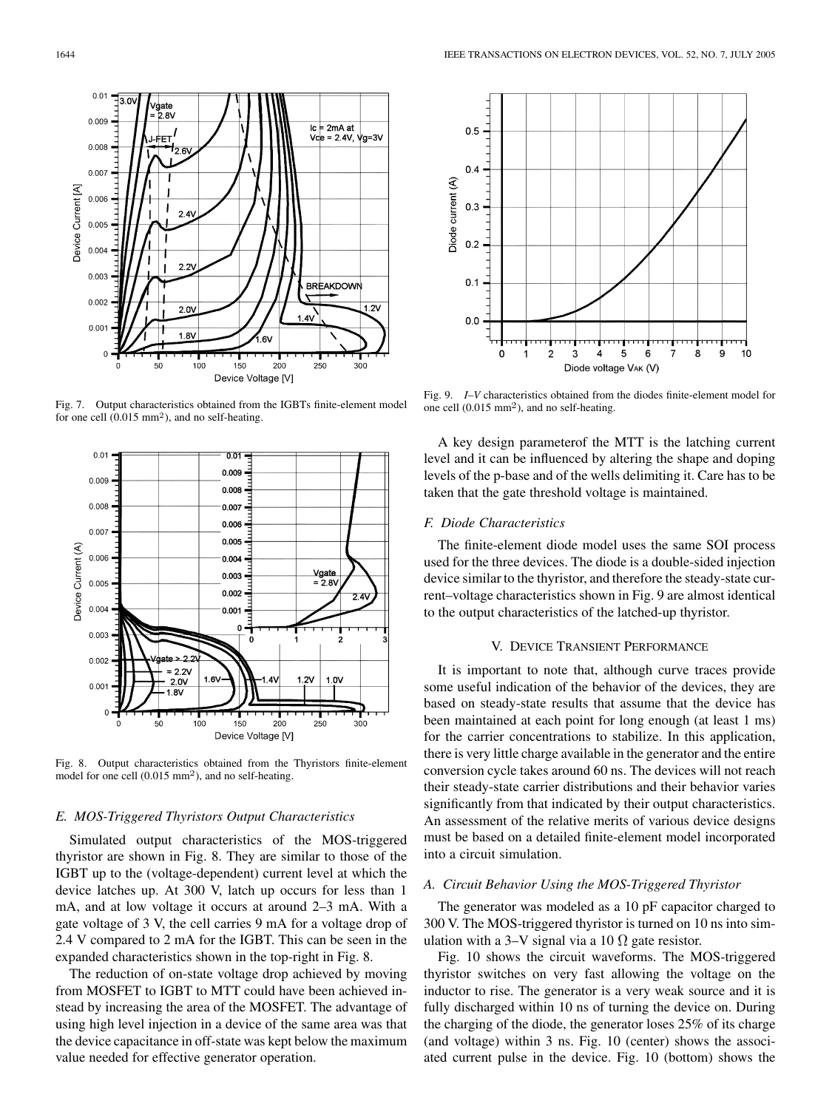

Fig. 7. Output characteristics obtained from the IGBTs finite-element model for one cell  $(0.015 \text{ mm}^2)$ , and no self-heating.



Fig. 8. Output characteristics obtained from the Thyristors finite-element model for one cell  $(0.015 \text{ mm}^2)$ , and no self-heating.

# *E. MOS-Triggered Thyristors Output Characteristics*

Simulated output characteristics of the MOS-triggered thyristor are shown in Fig. 8. They are similar to those of the IGBT up to the (voltage-dependent) current level at which the device latches up. At 300 V, latch up occurs for less than 1 mA, and at low voltage it occurs at around 2–3 mA. With a gate voltage of 3 V, the cell carries 9 mA for a voltage drop of 2.4 V compared to 2 mA for the IGBT. This can be seen in the expanded characteristics shown in the top-right in Fig. 8.

The reduction of on-state voltage drop achieved by moving from MOSFET to IGBT to MTT could have been achieved instead by increasing the area of the MOSFET. The advantage of using high level injection in a device of the same area was that the device capacitance in off-state was kept below the maximum value needed for effective generator operation.



Fig. 9. *I–V* characteristics obtained from the diodes finite-element model for one cell  $(0.015 \text{ mm}^2)$ , and no self-heating.

A key design parameterof the MTT is the latching current level and it can be influenced by altering the shape and doping levels of the p-base and of the wells delimiting it. Care has to be taken that the gate threshold voltage is maintained.

# *F. Diode Characteristics*

The finite-element diode model uses the same SOI process used for the three devices. The diode is a double-sided injection device similar to the thyristor, and therefore the steady-state current–voltage characteristics shown in Fig. 9 are almost identical to the output characteristics of the latched-up thyristor.

# V. DEVICE TRANSIENT PERFORMANCE

It is important to note that, although curve traces provide some useful indication of the behavior of the devices, they are based on steady-state results that assume that the device has been maintained at each point for long enough (at least 1 ms) for the carrier concentrations to stabilize. In this application, there is very little charge available in the generator and the entire conversion cycle takes around 60 ns. The devices will not reach their steady-state carrier distributions and their behavior varies significantly from that indicated by their output characteristics. An assessment of the relative merits of various device designs must be based on a detailed finite-element model incorporated into a circuit simulation.

# *A. Circuit Behavior Using the MOS-Triggered Thyristor*

The generator was modeled as a 10 pF capacitor charged to 300 V. The MOS-triggered thyristor is turned on 10 ns into simulation with a 3–V signal via a 10  $\Omega$  gate resistor.

Fig. 10 shows the circuit waveforms. The MOS-triggered thyristor switches on very fast allowing the voltage on the inductor to rise. The generator is a very weak source and it is fully discharged within 10 ns of turning the device on. During the charging of the diode, the generator loses 25% of its charge (and voltage) within 3 ns. Fig. 10 (center) shows the associated current pulse in the device. Fig. 10 (bottom) shows the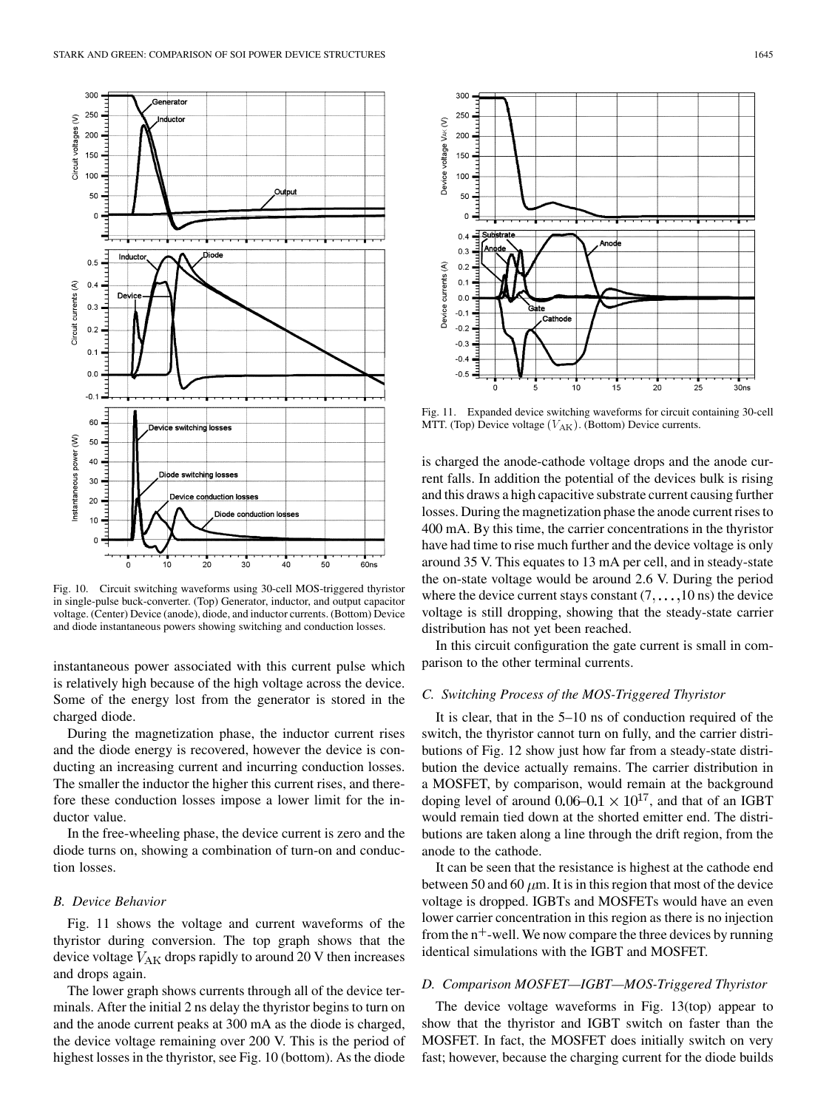

Fig. 10. Circuit switching waveforms using 30-cell MOS-triggered thyristor in single-pulse buck-converter. (Top) Generator, inductor, and output capacitor voltage. (Center) Device (anode), diode, and inductor currents. (Bottom) Device and diode instantaneous powers showing switching and conduction losses.

instantaneous power associated with this current pulse which is relatively high because of the high voltage across the device. Some of the energy lost from the generator is stored in the charged diode.

During the magnetization phase, the inductor current rises and the diode energy is recovered, however the device is conducting an increasing current and incurring conduction losses. The smaller the inductor the higher this current rises, and therefore these conduction losses impose a lower limit for the inductor value.

In the free-wheeling phase, the device current is zero and the diode turns on, showing a combination of turn-on and conduction losses.

## *B. Device Behavior*

Fig. 11 shows the voltage and current waveforms of the thyristor during conversion. The top graph shows that the device voltage  $V_{AK}$  drops rapidly to around 20 V then increases and drops again.

The lower graph shows currents through all of the device terminals. After the initial 2 ns delay the thyristor begins to turn on and the anode current peaks at 300 mA as the diode is charged, the device voltage remaining over 200 V. This is the period of highest losses in the thyristor, see Fig. 10 (bottom). As the diode



Fig. 11. Expanded device switching waveforms for circuit containing 30-cell MTT. (Top) Device voltage  $(V_{AK})$ . (Bottom) Device currents.

is charged the anode-cathode voltage drops and the anode current falls. In addition the potential of the devices bulk is rising and this draws a high capacitive substrate current causing further losses. During the magnetization phase the anode current rises to 400 mA. By this time, the carrier concentrations in the thyristor have had time to rise much further and the device voltage is only around 35 V. This equates to 13 mA per cell, and in steady-state the on-state voltage would be around 2.6 V. During the period where the device current stays constant  $(7, \ldots, 10 \text{ ns})$  the device voltage is still dropping, showing that the steady-state carrier distribution has not yet been reached.

In this circuit configuration the gate current is small in comparison to the other terminal currents.

# *C. Switching Process of the MOS-Triggered Thyristor*

It is clear, that in the 5–10 ns of conduction required of the switch, the thyristor cannot turn on fully, and the carrier distributions of Fig. 12 show just how far from a steady-state distribution the device actually remains. The carrier distribution in a MOSFET, by comparison, would remain at the background doping level of around  $0.06-0.1 \times 10^{17}$ , and that of an IGBT would remain tied down at the shorted emitter end. The distributions are taken along a line through the drift region, from the anode to the cathode.

It can be seen that the resistance is highest at the cathode end between 50 and 60  $\mu$ m. It is in this region that most of the device voltage is dropped. IGBTs and MOSFETs would have an even lower carrier concentration in this region as there is no injection from the  $n^+$ -well. We now compare the three devices by running identical simulations with the IGBT and MOSFET.

## *D. Comparison MOSFET—IGBT—MOS-Triggered Thyristor*

The device voltage waveforms in Fig. 13(top) appear to show that the thyristor and IGBT switch on faster than the MOSFET. In fact, the MOSFET does initially switch on very fast; however, because the charging current for the diode builds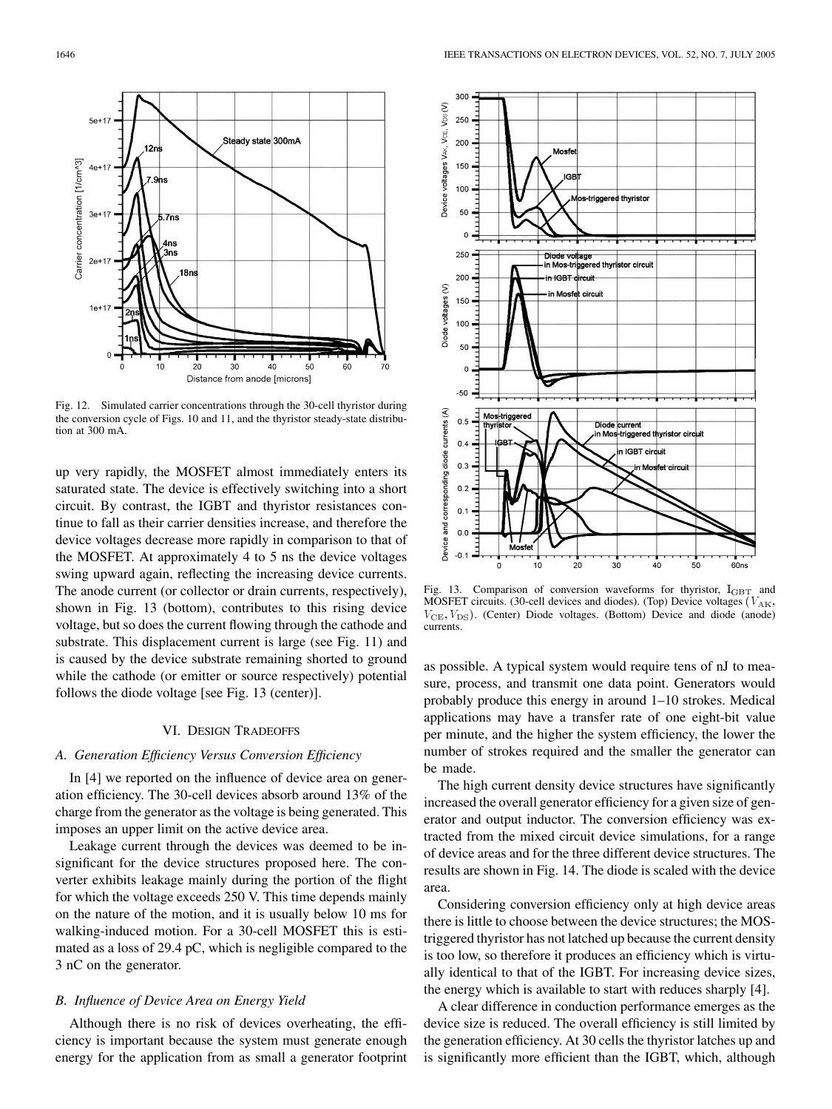

Fig. 12. Simulated carrier concentrations through the 30-cell thyristor during the conversion cycle of Figs. 10 and 11, and the thyristor steady-state distribution at 300 mA.

up very rapidly, the MOSFET almost immediately enters its saturated state. The device is effectively switching into a short circuit. By contrast, the IGBT and thyristor resistances continue to fall as their carrier densities increase, and therefore the device voltages decrease more rapidly in comparison to that of the MOSFET. At approximately 4 to 5 ns the device voltages swing upward again, reflecting the increasing device currents. The anode current (or collector or drain currents, respectively), shown in Fig. 13 (bottom), contributes to this rising device voltage, but so does the current flowing through the cathode and substrate. This displacement current is large (see Fig. 11) and is caused by the device substrate remaining shorted to ground while the cathode (or emitter or source respectively) potential follows the diode voltage [see Fig. 13 (center)].

#### VI. DESIGN TRADEOFFS

# *A. Generation Efficiency Versus Conversion Efficiency*

In [\[4](#page-8-0)] we reported on the influence of device area on generation efficiency. The 30-cell devices absorb around 13% of the charge from the generator as the voltage is being generated. This imposes an upper limit on the active device area.

Leakage current through the devices was deemed to be insignificant for the device structures proposed here. The converter exhibits leakage mainly during the portion of the flight for which the voltage exceeds 250 V. This time depends mainly on the nature of the motion, and it is usually below 10 ms for walking-induced motion. For a 30-cell MOSFET this is estimated as a loss of 29.4 pC, which is negligible compared to the 3 nC on the generator.

#### *B. Influence of Device Area on Energy Yield*

Although there is no risk of devices overheating, the efficiency is important because the system must generate enough energy for the application from as small a generator footprint



Fig. 13. Comparison of conversion waveforms for thyristor,  $I_{\text{GBT}}$  and MOSFET circuits. (30-cell devices and diodes). (Top) Device voltages ( $V_{AK}$ ,  $V_{\text{CE}}$ ,  $V_{\text{DS}}$ ). (Center) Diode voltages. (Bottom) Device and diode (anode) currents.

as possible. A typical system would require tens of nJ to measure, process, and transmit one data point. Generators would probably produce this energy in around 1–10 strokes. Medical applications may have a transfer rate of one eight-bit value per minute, and the higher the system efficiency, the lower the number of strokes required and the smaller the generator can be made.

The high current density device structures have significantly increased the overall generator efficiency for a given size of generator and output inductor. The conversion efficiency was extracted from the mixed circuit device simulations, for a range of device areas and for the three different device structures. The results are shown in Fig. 14. The diode is scaled with the device area.

Considering conversion efficiency only at high device areas there is little to choose between the device structures; the MOStriggered thyristor has not latched up because the current density is too low, so therefore it produces an efficiency which is virtually identical to that of the IGBT. For increasing device sizes, the energy which is available to start with reduces sharply [[4\]](#page-8-0).

A clear difference in conduction performance emerges as the device size is reduced. The overall efficiency is still limited by the generation efficiency. At 30 cells the thyristor latches up and is significantly more efficient than the IGBT, which, although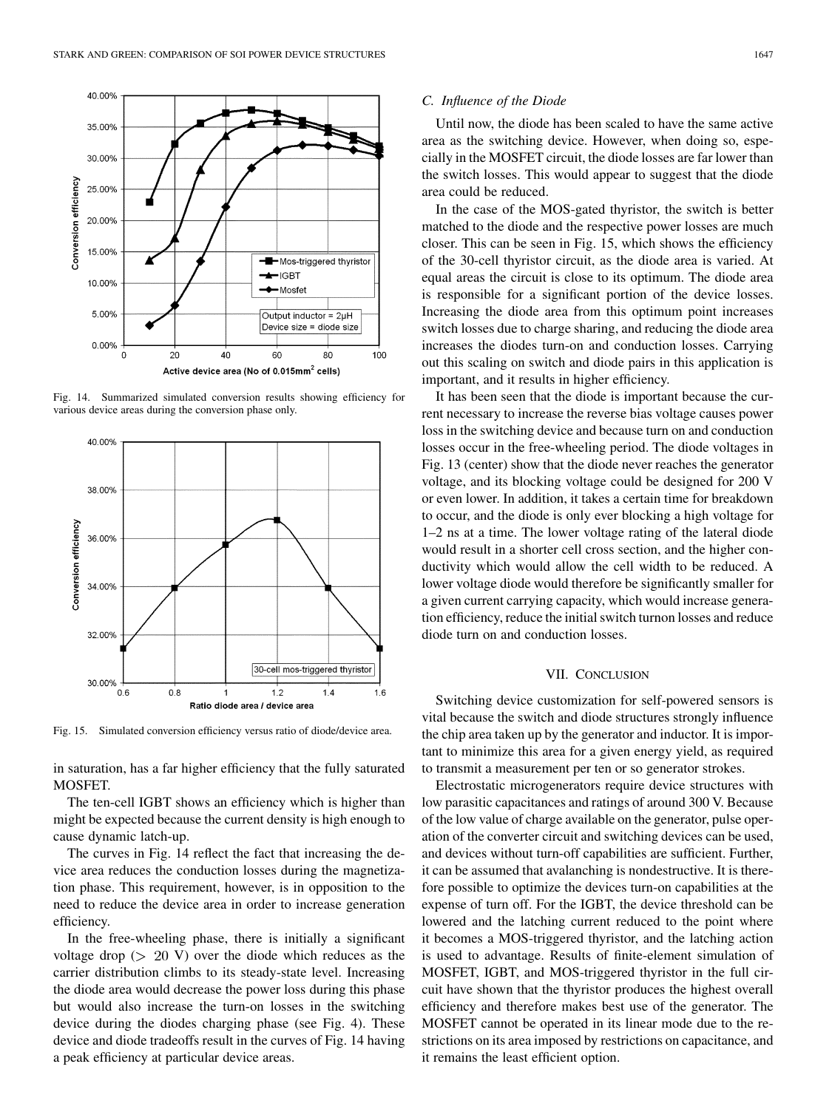

Fig. 14. Summarized simulated conversion results showing efficiency for various device areas during the conversion phase only.



Fig. 15. Simulated conversion efficiency versus ratio of diode/device area.

in saturation, has a far higher efficiency that the fully saturated MOSFET.

The ten-cell IGBT shows an efficiency which is higher than might be expected because the current density is high enough to cause dynamic latch-up.

The curves in Fig. 14 reflect the fact that increasing the device area reduces the conduction losses during the magnetization phase. This requirement, however, is in opposition to the need to reduce the device area in order to increase generation efficiency.

In the free-wheeling phase, there is initially a significant voltage drop ( $> 20$  V) over the diode which reduces as the carrier distribution climbs to its steady-state level. Increasing the diode area would decrease the power loss during this phase but would also increase the turn-on losses in the switching device during the diodes charging phase (see Fig. 4). These device and diode tradeoffs result in the curves of Fig. 14 having a peak efficiency at particular device areas.

# *C. Influence of the Diode*

Until now, the diode has been scaled to have the same active area as the switching device. However, when doing so, especially in the MOSFET circuit, the diode losses are far lower than the switch losses. This would appear to suggest that the diode area could be reduced.

In the case of the MOS-gated thyristor, the switch is better matched to the diode and the respective power losses are much closer. This can be seen in Fig. 15, which shows the efficiency of the 30-cell thyristor circuit, as the diode area is varied. At equal areas the circuit is close to its optimum. The diode area is responsible for a significant portion of the device losses. Increasing the diode area from this optimum point increases switch losses due to charge sharing, and reducing the diode area increases the diodes turn-on and conduction losses. Carrying out this scaling on switch and diode pairs in this application is important, and it results in higher efficiency.

It has been seen that the diode is important because the current necessary to increase the reverse bias voltage causes power loss in the switching device and because turn on and conduction losses occur in the free-wheeling period. The diode voltages in Fig. 13 (center) show that the diode never reaches the generator voltage, and its blocking voltage could be designed for 200 V or even lower. In addition, it takes a certain time for breakdown to occur, and the diode is only ever blocking a high voltage for 1–2 ns at a time. The lower voltage rating of the lateral diode would result in a shorter cell cross section, and the higher conductivity which would allow the cell width to be reduced. A lower voltage diode would therefore be significantly smaller for a given current carrying capacity, which would increase generation efficiency, reduce the initial switch turnon losses and reduce diode turn on and conduction losses.

# VII. CONCLUSION

Switching device customization for self-powered sensors is vital because the switch and diode structures strongly influence the chip area taken up by the generator and inductor. It is important to minimize this area for a given energy yield, as required to transmit a measurement per ten or so generator strokes.

Electrostatic microgenerators require device structures with low parasitic capacitances and ratings of around 300 V. Because of the low value of charge available on the generator, pulse operation of the converter circuit and switching devices can be used, and devices without turn-off capabilities are sufficient. Further, it can be assumed that avalanching is nondestructive. It is therefore possible to optimize the devices turn-on capabilities at the expense of turn off. For the IGBT, the device threshold can be lowered and the latching current reduced to the point where it becomes a MOS-triggered thyristor, and the latching action is used to advantage. Results of finite-element simulation of MOSFET, IGBT, and MOS-triggered thyristor in the full circuit have shown that the thyristor produces the highest overall efficiency and therefore makes best use of the generator. The MOSFET cannot be operated in its linear mode due to the restrictions on its area imposed by restrictions on capacitance, and it remains the least efficient option.